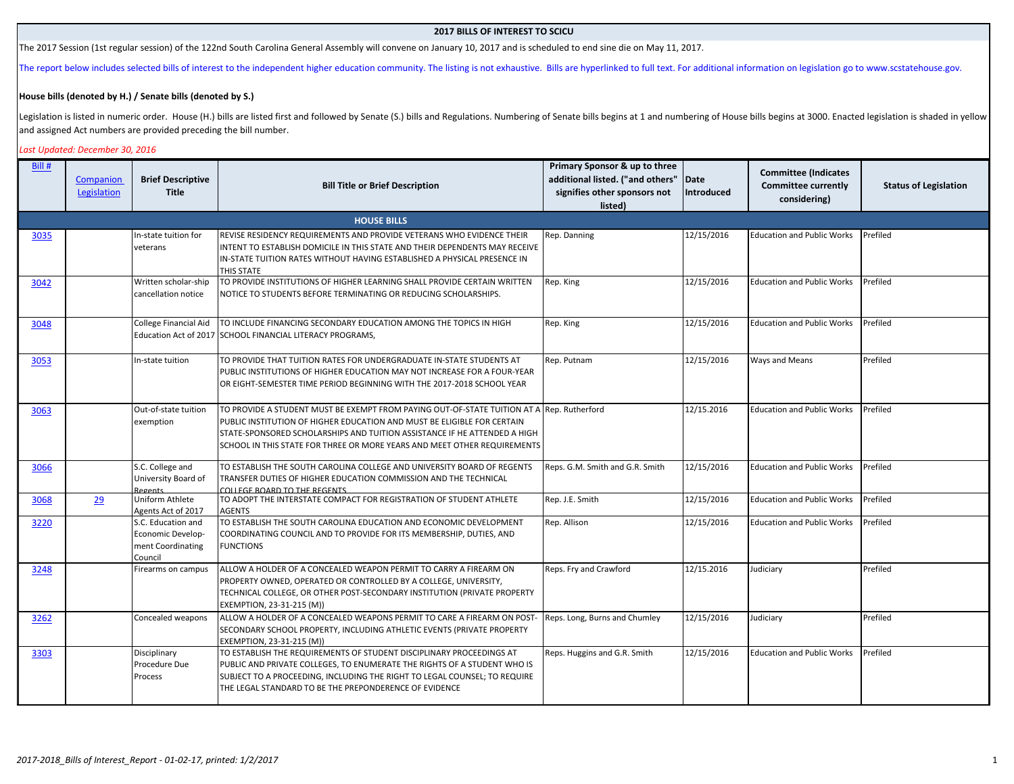## **2017 BILLS OF INTEREST TO SCICU**

The 2017 Session (1st regular session) of the 122nd South Carolina General Assembly will convene on January 10, 2017 and is scheduled to end sine die on May 11, 2017.

[The report b](http://www.scstatehouse.gov/index.php)elow includes selected bills of interest to the independent higher education community. The listing is not exhaustive. Bills are hyperlinked to full text. For additional information on legislation go to www.scs

## **House bills (denoted by H.) / Senate bills (denoted by S.)**

Legislation is listed in numeric order. House (H.) bills are listed first and followed by Senate (S.) bills and Regulations. Numbering of Senate bills begins at 1 and numbering of House bills begins at 3000. Enacted legisl and assigned Act numbers are provided preceding the bill number.

## *Last Updated: December 30, 2016*

| Bill # | Companion<br>Legislation | <b>Brief Descriptive</b><br><b>Title</b>                                | <b>Bill Title or Brief Description</b>                                                                                                                                                                                                                                                                        | Primary Sponsor & up to three<br>additional listed. ("and others"<br>signifies other sponsors not<br>listed) | Date<br>Introduced | <b>Committee (Indicates</b><br><b>Committee currently</b><br>considering) | <b>Status of Legislation</b> |
|--------|--------------------------|-------------------------------------------------------------------------|---------------------------------------------------------------------------------------------------------------------------------------------------------------------------------------------------------------------------------------------------------------------------------------------------------------|--------------------------------------------------------------------------------------------------------------|--------------------|---------------------------------------------------------------------------|------------------------------|
|        |                          |                                                                         | <b>HOUSE BILLS</b>                                                                                                                                                                                                                                                                                            |                                                                                                              |                    |                                                                           |                              |
| 3035   |                          | In-state tuition for<br>veterans                                        | REVISE RESIDENCY REQUIREMENTS AND PROVIDE VETERANS WHO EVIDENCE THEIR<br>INTENT TO ESTABLISH DOMICILE IN THIS STATE AND THEIR DEPENDENTS MAY RECEIVE<br>IN-STATE TUITION RATES WITHOUT HAVING ESTABLISHED A PHYSICAL PRESENCE IN<br>THIS STATE                                                                | Rep. Danning                                                                                                 | 12/15/2016         | <b>Education and Public Works</b>                                         | Prefiled                     |
| 3042   |                          | Written scholar-ship<br>cancellation notice                             | TO PROVIDE INSTITUTIONS OF HIGHER LEARNING SHALL PROVIDE CERTAIN WRITTEN<br>NOTICE TO STUDENTS BEFORE TERMINATING OR REDUCING SCHOLARSHIPS.                                                                                                                                                                   | Rep. King                                                                                                    | 12/15/2016         | <b>Education and Public Works</b>                                         | Prefiled                     |
| 3048   |                          | <b>College Financial Aid</b>                                            | TO INCLUDE FINANCING SECONDARY EDUCATION AMONG THE TOPICS IN HIGH<br>Education Act of 2017 SCHOOL FINANCIAL LITERACY PROGRAMS,                                                                                                                                                                                | Rep. King                                                                                                    | 12/15/2016         | <b>Education and Public Works</b>                                         | Prefiled                     |
| 3053   |                          | In-state tuition                                                        | TO PROVIDE THAT TUITION RATES FOR UNDERGRADUATE IN-STATE STUDENTS AT<br>PUBLIC INSTITUTIONS OF HIGHER EDUCATION MAY NOT INCREASE FOR A FOUR-YEAR<br>OR EIGHT-SEMESTER TIME PERIOD BEGINNING WITH THE 2017-2018 SCHOOL YEAR                                                                                    | Rep. Putnam                                                                                                  | 12/15/2016         | Ways and Means                                                            | Prefiled                     |
| 3063   |                          | Out-of-state tuition<br>exemption                                       | TO PROVIDE A STUDENT MUST BE EXEMPT FROM PAYING OUT-OF-STATE TUITION AT A<br>PUBLIC INSTITUTION OF HIGHER EDUCATION AND MUST BE ELIGIBLE FOR CERTAIN<br>STATE-SPONSORED SCHOLARSHIPS AND TUITION ASSISTANCE IF HE ATTENDED A HIGH<br>SCHOOL IN THIS STATE FOR THREE OR MORE YEARS AND MEET OTHER REQUIREMENTS | Rep. Rutherford                                                                                              | 12/15.2016         | <b>Education and Public Works</b>                                         | Prefiled                     |
| 3066   |                          | S.C. College and<br>University Board of<br>Regents                      | TO ESTABLISH THE SOUTH CAROLINA COLLEGE AND UNIVERSITY BOARD OF REGENTS<br>TRANSFER DUTIES OF HIGHER EDUCATION COMMISSION AND THE TECHNICAL<br>COLLEGE BOARD TO THE REGENTS                                                                                                                                   | Reps. G.M. Smith and G.R. Smith                                                                              | 12/15/2016         | <b>Education and Public Works</b>                                         | Prefiled                     |
| 3068   | 29                       | Uniform Athlete<br>Agents Act of 2017                                   | TO ADOPT THE INTERSTATE COMPACT FOR REGISTRATION OF STUDENT ATHLETE<br><b>AGENTS</b>                                                                                                                                                                                                                          | Rep. J.E. Smith                                                                                              | 12/15/2016         | <b>Education and Public Works</b>                                         | Prefiled                     |
| 3220   |                          | S.C. Education and<br>Economic Develop-<br>ment Coordinating<br>Council | TO ESTABLISH THE SOUTH CAROLINA EDUCATION AND ECONOMIC DEVELOPMENT<br>COORDINATING COUNCIL AND TO PROVIDE FOR ITS MEMBERSHIP, DUTIES, AND<br><b>FUNCTIONS</b>                                                                                                                                                 | Rep. Allison                                                                                                 | 12/15/2016         | <b>Education and Public Works</b>                                         | Prefiled                     |
| 3248   |                          | Firearms on campus                                                      | ALLOW A HOLDER OF A CONCEALED WEAPON PERMIT TO CARRY A FIREARM ON<br>PROPERTY OWNED, OPERATED OR CONTROLLED BY A COLLEGE, UNIVERSITY,<br>TECHNICAL COLLEGE, OR OTHER POST-SECONDARY INSTITUTION (PRIVATE PROPERTY<br>EXEMPTION, 23-31-215 (M))                                                                | Reps. Fry and Crawford                                                                                       | 12/15.2016         | Judiciary                                                                 | Prefiled                     |
| 3262   |                          | Concealed weapons                                                       | ALLOW A HOLDER OF A CONCEALED WEAPONS PERMIT TO CARE A FIREARM ON POST-<br>SECONDARY SCHOOL PROPERTY, INCLUDING ATHLETIC EVENTS (PRIVATE PROPERTY<br>EXEMPTION, 23-31-215 (M))                                                                                                                                | Reps. Long, Burns and Chumley                                                                                | 12/15/2016         | Judiciary                                                                 | Prefiled                     |
| 3303   |                          | Disciplinary<br>Procedure Due<br>Process                                | TO ESTABLISH THE REQUIREMENTS OF STUDENT DISCIPLINARY PROCEEDINGS AT<br>PUBLIC AND PRIVATE COLLEGES, TO ENUMERATE THE RIGHTS OF A STUDENT WHO IS<br>SUBJECT TO A PROCEEDING, INCLUDING THE RIGHT TO LEGAL COUNSEL; TO REQUIRE<br>THE LEGAL STANDARD TO BE THE PREPONDERENCE OF EVIDENCE                       | Reps. Huggins and G.R. Smith                                                                                 | 12/15/2016         | <b>Education and Public Works</b>                                         | Prefiled                     |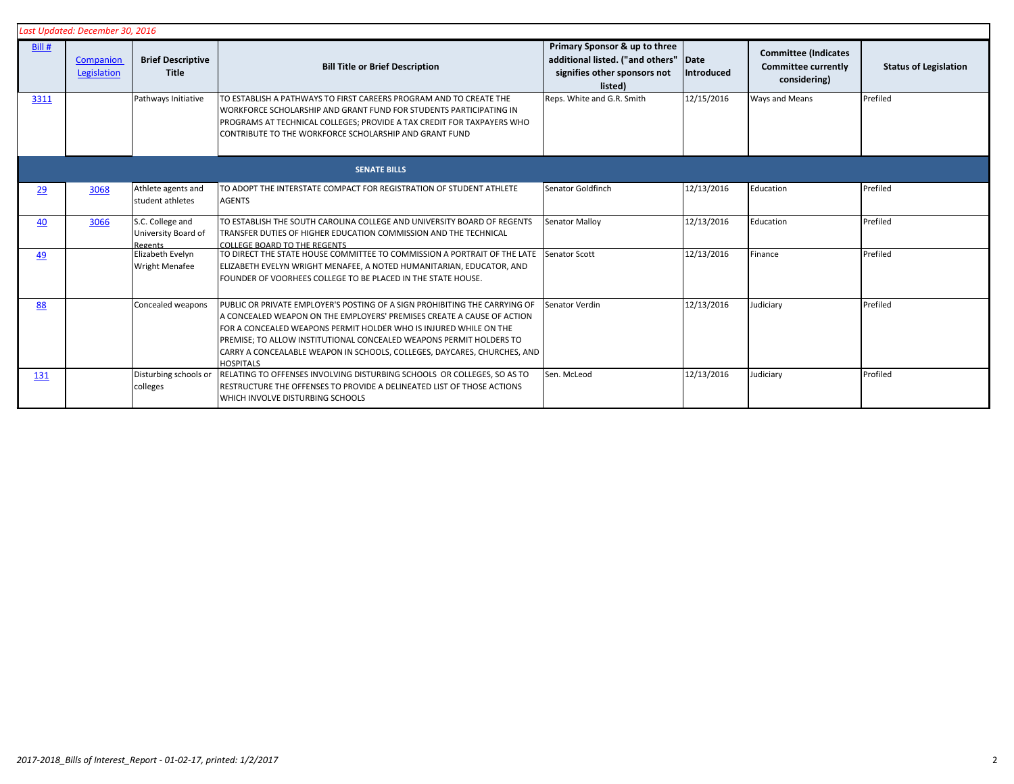| Last Updated: December 30, 2016 |                          |                                                    |                                                                                                                                                                                                                                                                                                                                                                                                  |                                                                                                              |                    |                                                                           |                              |  |
|---------------------------------|--------------------------|----------------------------------------------------|--------------------------------------------------------------------------------------------------------------------------------------------------------------------------------------------------------------------------------------------------------------------------------------------------------------------------------------------------------------------------------------------------|--------------------------------------------------------------------------------------------------------------|--------------------|---------------------------------------------------------------------------|------------------------------|--|
| Bill #                          | Companion<br>Legislation | <b>Brief Descriptive</b><br><b>Title</b>           | <b>Bill Title or Brief Description</b>                                                                                                                                                                                                                                                                                                                                                           | Primary Sponsor & up to three<br>additional listed. ("and others"<br>signifies other sponsors not<br>listed) | Date<br>Introduced | <b>Committee (Indicates</b><br><b>Committee currently</b><br>considering) | <b>Status of Legislation</b> |  |
| 3311                            |                          | Pathways Initiative                                | TO ESTABLISH A PATHWAYS TO FIRST CAREERS PROGRAM AND TO CREATE THE<br>WORKFORCE SCHOLARSHIP AND GRANT FUND FOR STUDENTS PARTICIPATING IN<br>PROGRAMS AT TECHNICAL COLLEGES; PROVIDE A TAX CREDIT FOR TAXPAYERS WHO<br>CONTRIBUTE TO THE WORKFORCE SCHOLARSHIP AND GRANT FUND                                                                                                                     | Reps. White and G.R. Smith                                                                                   | 12/15/2016         | Ways and Means                                                            | Prefiled                     |  |
|                                 | <b>SENATE BILLS</b>      |                                                    |                                                                                                                                                                                                                                                                                                                                                                                                  |                                                                                                              |                    |                                                                           |                              |  |
| 29                              | 3068                     | Athlete agents and<br>student athletes             | TO ADOPT THE INTERSTATE COMPACT FOR REGISTRATION OF STUDENT ATHLETE<br><b>AGENTS</b>                                                                                                                                                                                                                                                                                                             | Senator Goldfinch                                                                                            | 12/13/2016         | Education                                                                 | Prefiled                     |  |
| 40                              | 3066                     | S.C. College and<br>University Board of<br>Regents | TO ESTABLISH THE SOUTH CAROLINA COLLEGE AND UNIVERSITY BOARD OF REGENTS<br>TRANSFER DUTIES OF HIGHER EDUCATION COMMISSION AND THE TECHNICAL<br>COLLEGE BOARD TO THE REGENTS                                                                                                                                                                                                                      | Senator Malloy                                                                                               | 12/13/2016         | Education                                                                 | Prefiled                     |  |
| 49                              |                          | Elizabeth Evelyn<br><b>Wright Menafee</b>          | TO DIRECT THE STATE HOUSE COMMITTEE TO COMMISSION A PORTRAIT OF THE LATE<br>ELIZABETH EVELYN WRIGHT MENAFEE, A NOTED HUMANITARIAN, EDUCATOR, AND<br>FOUNDER OF VOORHEES COLLEGE TO BE PLACED IN THE STATE HOUSE.                                                                                                                                                                                 | Senator Scott                                                                                                | 12/13/2016         | Finance                                                                   | Prefiled                     |  |
| 88                              |                          | Concealed weapons                                  | PUBLIC OR PRIVATE EMPLOYER'S POSTING OF A SIGN PROHIBITING THE CARRYING OF<br>A CONCEALED WEAPON ON THE EMPLOYERS' PREMISES CREATE A CAUSE OF ACTION<br>FOR A CONCEALED WEAPONS PERMIT HOLDER WHO IS INJURED WHILE ON THE<br>PREMISE; TO ALLOW INSTITUTIONAL CONCEALED WEAPONS PERMIT HOLDERS TO<br>CARRY A CONCEALABLE WEAPON IN SCHOOLS, COLLEGES, DAYCARES, CHURCHES, AND<br><b>HOSPITALS</b> | Senator Verdin                                                                                               | 12/13/2016         | Judiciary                                                                 | Prefiled                     |  |
| 131                             |                          | Disturbing schools or<br>colleges                  | RELATING TO OFFENSES INVOLVING DISTURBING SCHOOLS OR COLLEGES, SO AS TO<br>RESTRUCTURE THE OFFENSES TO PROVIDE A DELINEATED LIST OF THOSE ACTIONS<br>WHICH INVOLVE DISTURBING SCHOOLS                                                                                                                                                                                                            | Sen. McLeod                                                                                                  | 12/13/2016         | Judiciary                                                                 | Profiled                     |  |